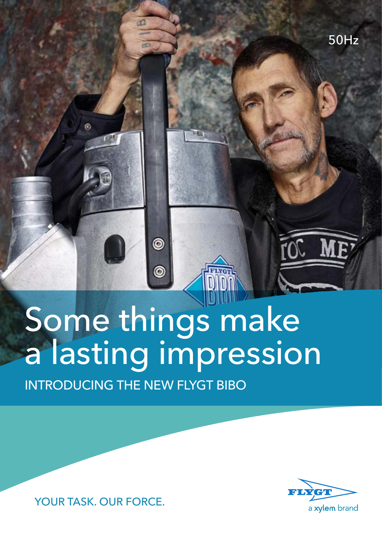# Some things make a lasting impression

 $\circledcirc$ 

 $\circledcirc$ 

INTRODUCING THE NEW FLYGT BIBO





50Hz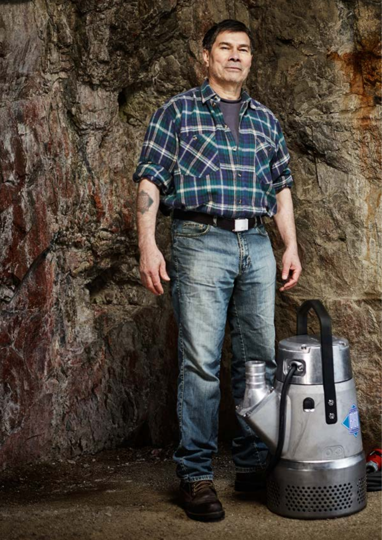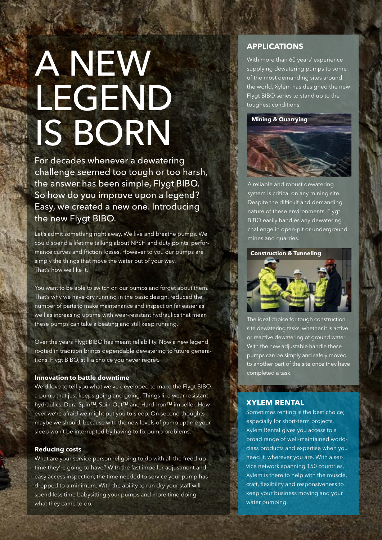# A NEW LEGEND IS BORN

For decades whenever a dewatering challenge seemed too tough or too harsh, the answer has been simple, Flygt BIBO. So how do you improve upon a legend? Easy, we created a new one. Introducing the new Flygt BIBO.

Let's admit something right away. We live and breathe pumps. We could spend a lifetime talking about NPSH and duty points, performance curves and friction losses. However to you our pumps are simply the things that move the water out of your way. That's how we like it.

You want to be able to switch on our pumps and forget about them. That's why we have dry running in the basic design, reduced the number of parts to make maintenance and inspection far easier as well as increasing uptime with wear-resistant hydraulics that mean these pumps can take a beating and still keep running.

Over the years Flygt BIBO has meant reliability. Now a new legend rooted in tradition brings dependable dewatering to future generations. Flygt BIBO, still a choice you never regret.

#### **Innovation to battle downtime**

We'd love to tell you what we've developed to make the Flygt BIBO a pump that just keeps going and going. Things like wear resistant hydraulics, Dura-Spin™, Spin-Out™ and Hard-Iron™ impeller. However we're afraid we might put you to sleep. On second thoughts maybe we should, because with the new levels of pump uptime your sleep won't be interrupted by having to fix pump problems.

#### **Reducing costs**

What are your service personnel going to do with all the freed-up time they're going to have? With the fast impeller adjustment and easy access inspection, the time needed to service your pump has dropped to a minimum. With the ability to run dry your staff will spend less time babysitting your pumps and more time doing what they came to do.

#### **APPLICATIONS**

With more than 60 years' experience supplying dewatering pumps to some of the most demanding sites around the world, Xylem has designed the new Flygt BIBO series to stand up to the toughest conditions.

**Mining & Quarrying**



A reliable and robust dewatering system is critical on any mining site. Despite the difficult and demanding nature of these environments, Flygt BIBO easily handles any dewatering challenge in open-pit or underground mines and quarries.

**Construction & Tunneling**



The ideal choice for tough construction site dewatering tasks, whether it is active or reactive dewatering of ground water. With the new adjustable handle these pumps can be simply and safely moved to another part of the site once they have completed a task.

#### **XYLEM RENTAL**

Sometimes renting is the best choice; especially for short-term projects. Xylem Rental gives you access to a broad range of well-maintained worldclass products and expertise when you need it, wherever you are. With a service network spanning 150 countries, Xylem is there to help with the muscle, craft, flexibility and responsiveness to keep your business moving and your water pumping.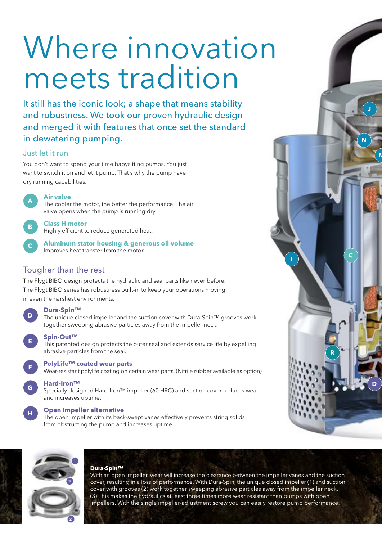## Where innovation meets tradition

It still has the iconic look; a shape that means stability and robustness. We took our proven hydraulic design and merged it with features that once set the standard in dewatering pumping.

#### Just let it run

You don't want to spend your time babysitting pumps. You just want to switch it on and let it pump. That´s why the pump have dry running capabilities.



**B**

**C**

valve opens when the pump is running dry.

**Air valve**

**Class H motor**  Highly efficient to reduce generated heat.

**Aluminum stator housing & generous oil volume** Improves heat transfer from the motor.

The cooler the motor, the better the performance. The air

### Tougher than the rest

The Flygt BIBO design protects the hydraulic and seal parts like never before. The Flygt BIBO series has robustness built-in to keep your operations moving in even the harshest environments.

#### **Dura-Spin™**

The unique closed impeller and the suction cover with Dura-Spin™ grooves work together sweeping abrasive particles away from the impeller neck.

**E**

**D**

#### **Spin-Out™**

This patented design protects the outer seal and extends service life by expelling abrasive particles from the seal.



#### **PolyLife™ coated wear parts**

Wear-resistant polylife coating on certain wear parts. (Nitrile rubber available as option)



**H**

**Hard-Iron™**

Specially designed Hard-Iron<sup>™</sup> impeller (60 HRC) and suction cover reduces wear and increases uptime.

#### **Open Impeller alternative**

The open impeller with its back-swept vanes effectively prevents string solids from obstructing the pump and increases uptime.





#### **Dura-Spin™**

With an open impeller, wear will increase the clearance between the impeller vanes and the suction cover, resulting in a loss of performance. With Dura-Spin, the unique closed impeller (1) and suction cover with grooves (2) work together sweeping abrasive particles away from the impeller neck. (3) This makes the hydraulics at least three times more wear resistant than pumps with open impellers. With the single impeller-adjustment screw you can easily restore pump performance.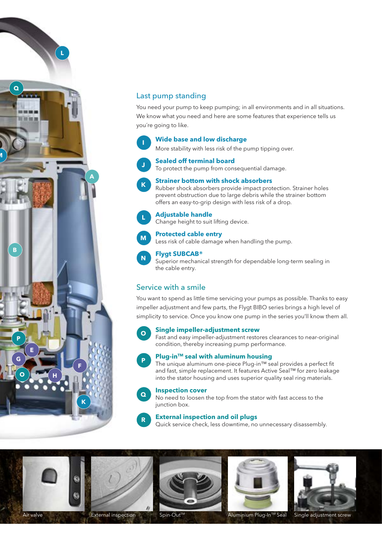

### Last pump standing

You need your pump to keep pumping; in all environments and in all situations. We know what you need and here are some features that experience tells us you´re going to like.



#### **Wide base and low discharge**

**Sealed off terminal board** 

More stability with less risk of the pump tipping over.



**K**

#### **Strainer bottom with shock absorbers**

To protect the pump from consequential damage.

Rubber shock absorbers provide impact protection. Strainer holes prevent obstruction due to large debris while the strainer bottom offers an easy-to-grip design with less risk of a drop.



#### **Adjustable handle**

Change height to suit lifting device.



#### **Protected cable entry**

Less risk of cable damage when handling the pump.



#### **Flygt SUBCAB®**

Superior mechanical strength for dependable long-term sealing in the cable entry.

#### Service with a smile

You want to spend as little time servicing your pumps as possible. Thanks to easy impeller adjustment and few parts, the Flygt BIBO series brings a high level of simplicity to service. Once you know one pump in the series you'll know them all.



#### **Single impeller-adjustment screw**

Fast and easy impeller-adjustment restores clearances to near-original condition, thereby increasing pump performance.



**Q**

#### **Plug-in™ seal with aluminum housing**

The unique aluminum one-piece Plug-in™ seal provides a perfect fit and fast, simple replacement. It features Active Seal™ for zero leakage into the stator housing and uses superior quality seal ring materials.

#### **Inspection cover**

No need to loosen the top from the stator with fast access to the junction box.

#### **External inspection and oil plugs**

Quick service check, less downtime, no unnecessary disassembly. **<sup>R</sup>**











Air valve **Suite Air Spin-Out™** Aluminium Plug-In<sup>™</sup> Seal Single adjustment screw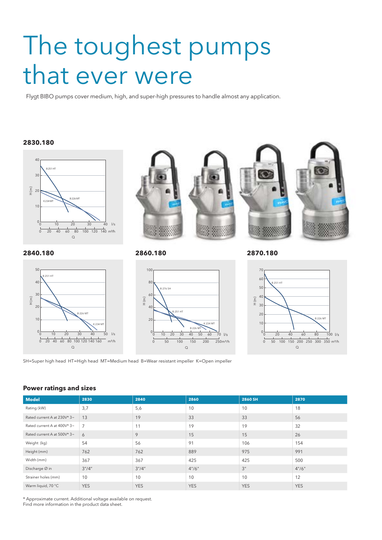## The toughest pumps that ever were

Flygt BIBO pumps cover medium, high, and super-high pressures to handle almost any application.

#### **2830.180**







**2840.180 2860.180 2870.180**



SH=Super high head HT=High head MT=Medium head B=Wear resistant impeller K=Open impeller





#### **Power ratings and sizes**

| <b>Model</b>                | 2830           | 2840       | 2860       | 2860 SH    | 2870       |
|-----------------------------|----------------|------------|------------|------------|------------|
| Rating (kW)                 | 3,7            | 5,6        | 10         | 10         | 18         |
| Rated current A at 230V* 3~ | 13             | 19         | 33         | 33         | 56         |
| Rated current A at 400V* 3~ | $\overline{7}$ | 11         | 19         | 19         | 32         |
| Rated current A at 500V* 3~ | 6              | 9          | 15         | 15         | 26         |
| Weight (kg)                 | 54             | 56         | 91         | 106        | 154        |
| Height (mm)                 | 762            | 762        | 889        | 975        | 991        |
| Width (mm)                  | 367            | 367        | 425        | 425        | 500        |
| Discharge Ø in              | 3''/4''        | 3''/4''    | 4" / 6"    | 3"         | 4" / 6"    |
| Strainer holes (mm)         | 10             | 10         | 10         | 10         | 12         |
| Warm liquid, 70 °C          | <b>YES</b>     | <b>YES</b> | <b>YES</b> | <b>YES</b> | <b>YES</b> |

\* Approximate current. Additional voltage available on request. Find more information in the product data sheet.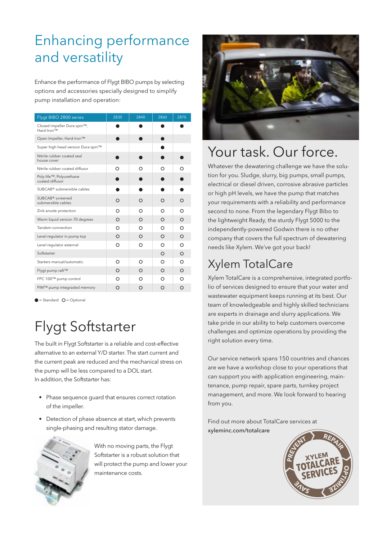## Enhancing performance and versatility

Enhance the performance of Flygt BIBO pumps by selecting options and accessories specially designed to simplify pump installation and operation:

| Flygt BIBO 2800 series                             | 2830     | 2840     | 2860     | 2870     |
|----------------------------------------------------|----------|----------|----------|----------|
| Closed impeller Dura spin™,<br>Hard-Iron™          |          |          |          |          |
| Open Impeller, Hard-Iron™                          |          |          |          |          |
| Super high head version Dura spin™                 |          |          |          |          |
| Nitrile rubber coated seal<br>house cover          |          |          |          |          |
| Nitrile rubber coated diffusor                     | ∩        | ∩        | ∩        |          |
| Poly-life™, Polyurethane<br>coated diffusor        |          |          |          |          |
| SUBCAB <sup>®</sup> submersible cables             |          |          |          |          |
| SUBCAB <sup>®</sup> screened<br>submersible cables | $\Omega$ | Ω        | ∩        | Ω        |
| Zink anode protection                              | Ω        | O        | ∩        | O        |
| Warm liquid version 70 degrees                     | O        | O        | $\circ$  | $\circ$  |
| Tandem connection                                  | Ω        | ∩        | ∩        | O        |
| Level regulator in pump top                        | $\Omega$ | O        | $\Omega$ | O        |
| Level regulator external                           | O        | O        | Ω        | O        |
| Softstarter                                        |          |          | $\Omega$ | $\Omega$ |
| Starters manual/automatic                          | Ο        | Ο        | ◠        | O        |
| Flygt pump raft™                                   | $\Omega$ | $\Omega$ | $\Omega$ | $\Omega$ |
| FPC 100™ pump control                              | റ        | O        | ◠        | ∩        |
| PIM™ pump integraded memory                        | Ω        | ∩        | Ω        | O        |

 $\bullet$  = Standard  $\bullet$  = Optional

## Flygt Softstarter

The built in Flygt Softstarter is a reliable and cost-effective alternative to an external Y/D starter. The start current and the current peak are reduced and the mechanical stress on the pump will be less compared to a DOL start. In addition, the Softstarter has:

- Phase sequence guard that ensures correct rotation of the impeller.
- Detection of phase absence at start, which prevents single-phasing and resulting stator damage.



With no moving parts, the Flygt Softstarter is a robust solution that will protect the pump and lower your maintenance costs.



## Your task. Our force.

Whatever the dewatering challenge we have the solution for you. Sludge, slurry, big pumps, small pumps, electrical or diesel driven, corrosive abrasive particles or high pH levels, we have the pump that matches your requirements with a reliability and performance second to none. From the legendary Flygt Bibo to the lightweight Ready, the sturdy Flygt 5000 to the independently-powered Godwin there is no other company that covers the full spectrum of dewatering needs like Xylem. We've got your back!

### Xylem TotalCare

Xylem TotalCare is a comprehensive, integrated portfolio of services designed to ensure that your water and wastewater equipment keeps running at its best. Our team of knowledgeable and highly skilled technicians are experts in drainage and slurry applications. We take pride in our ability to help customers overcome challenges and optimize operations by providing the right solution every time.

Our service network spans 150 countries and chances are we have a workshop close to your operations that can support you with application engineering, maintenance, pump repair, spare parts, turnkey project management, and more. We look forward to hearing from you.

Find out more about TotalCare services at xyleminc.com/totalcare